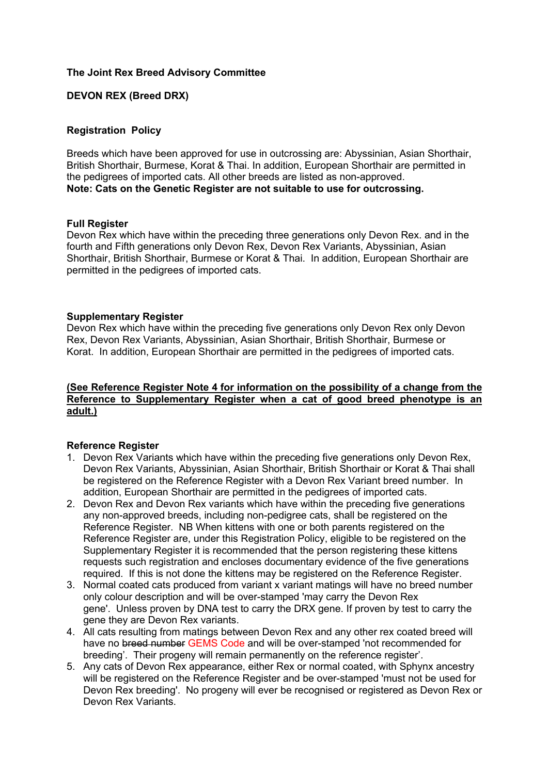### **The Joint Rex Breed Advisory Committee**

# **DEVON REX (Breed DRX)**

### **Registration Policy**

Breeds which have been approved for use in outcrossing are: Abyssinian, Asian Shorthair, British Shorthair, Burmese, Korat & Thai. In addition, European Shorthair are permitted in the pedigrees of imported cats. All other breeds are listed as non-approved. **Note: Cats on the Genetic Register are not suitable to use for outcrossing.**

#### **Full Register**

Devon Rex which have within the preceding three generations only Devon Rex. and in the fourth and Fifth generations only Devon Rex, Devon Rex Variants, Abyssinian, Asian Shorthair, British Shorthair, Burmese or Korat & Thai. In addition, European Shorthair are permitted in the pedigrees of imported cats.

#### **Supplementary Register**

Devon Rex which have within the preceding five generations only Devon Rex only Devon Rex, Devon Rex Variants, Abyssinian, Asian Shorthair, British Shorthair, Burmese or Korat. In addition, European Shorthair are permitted in the pedigrees of imported cats.

# **(See Reference Register Note 4 for information on the possibility of a change from the Reference to Supplementary Register when a cat of good breed phenotype is an adult.)**

# **Reference Register**

- 1. Devon Rex Variants which have within the preceding five generations only Devon Rex, Devon Rex Variants, Abyssinian, Asian Shorthair, British Shorthair or Korat & Thai shall be registered on the Reference Register with a Devon Rex Variant breed number. In addition, European Shorthair are permitted in the pedigrees of imported cats.
- 2. Devon Rex and Devon Rex variants which have within the preceding five generations any non-approved breeds, including non-pedigree cats, shall be registered on the Reference Register. NB When kittens with one or both parents registered on the Reference Register are, under this Registration Policy, eligible to be registered on the Supplementary Register it is recommended that the person registering these kittens requests such registration and encloses documentary evidence of the five generations required. If this is not done the kittens may be registered on the Reference Register.
- 3. Normal coated cats produced from variant x variant matings will have no breed number only colour description and will be over-stamped 'may carry the Devon Rex gene'. Unless proven by DNA test to carry the DRX gene. If proven by test to carry the gene they are Devon Rex variants.
- 4. All cats resulting from matings between Devon Rex and any other rex coated breed will have no breed number GEMS Code and will be over-stamped 'not recommended for breeding'. Their progeny will remain permanently on the reference register'.
- 5. Any cats of Devon Rex appearance, either Rex or normal coated, with Sphynx ancestry will be registered on the Reference Register and be over-stamped 'must not be used for Devon Rex breeding'. No progeny will ever be recognised or registered as Devon Rex or Devon Rex Variants.